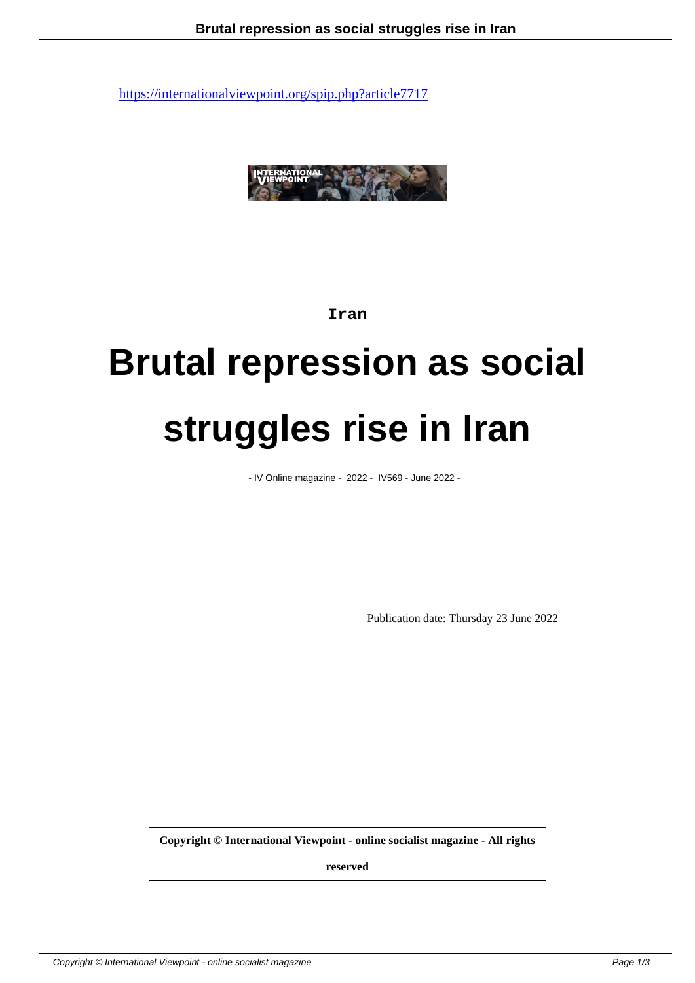

### **Iran**

# **Brutal repression as social struggles rise in Iran**

- IV Online magazine - 2022 - IV569 - June 2022 -

Publication date: Thursday 23 June 2022

**Copyright © International Viewpoint - online socialist magazine - All rights**

**reserved**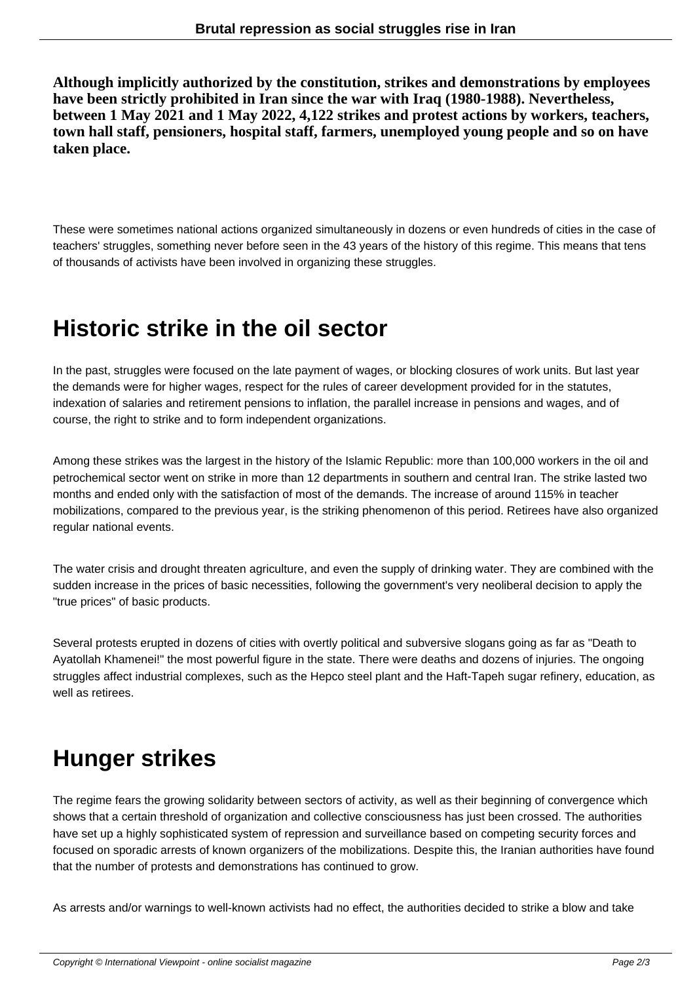**Although implicitly authorized by the constitution, strikes and demonstrations by employees have been strictly prohibited in Iran since the war with Iraq (1980-1988). Nevertheless, between 1 May 2021 and 1 May 2022, 4,122 strikes and protest actions by workers, teachers, town hall staff, pensioners, hospital staff, farmers, unemployed young people and so on have taken place.**

These were sometimes national actions organized simultaneously in dozens or even hundreds of cities in the case of teachers' struggles, something never before seen in the 43 years of the history of this regime. This means that tens of thousands of activists have been involved in organizing these struggles.

## **Historic strike in the oil sector**

In the past, struggles were focused on the late payment of wages, or blocking closures of work units. But last year the demands were for higher wages, respect for the rules of career development provided for in the statutes, indexation of salaries and retirement pensions to inflation, the parallel increase in pensions and wages, and of course, the right to strike and to form independent organizations.

Among these strikes was the largest in the history of the Islamic Republic: more than 100,000 workers in the oil and petrochemical sector went on strike in more than 12 departments in southern and central Iran. The strike lasted two months and ended only with the satisfaction of most of the demands. The increase of around 115% in teacher mobilizations, compared to the previous year, is the striking phenomenon of this period. Retirees have also organized regular national events.

The water crisis and drought threaten agriculture, and even the supply of drinking water. They are combined with the sudden increase in the prices of basic necessities, following the government's very neoliberal decision to apply the "true prices" of basic products.

Several protests erupted in dozens of cities with overtly political and subversive slogans going as far as "Death to Ayatollah Khamenei!" the most powerful figure in the state. There were deaths and dozens of injuries. The ongoing struggles affect industrial complexes, such as the Hepco steel plant and the Haft-Tapeh sugar refinery, education, as well as retirees.

## **Hunger strikes**

The regime fears the growing solidarity between sectors of activity, as well as their beginning of convergence which shows that a certain threshold of organization and collective consciousness has just been crossed. The authorities have set up a highly sophisticated system of repression and surveillance based on competing security forces and focused on sporadic arrests of known organizers of the mobilizations. Despite this, the Iranian authorities have found that the number of protests and demonstrations has continued to grow.

As arrests and/or warnings to well-known activists had no effect, the authorities decided to strike a blow and take